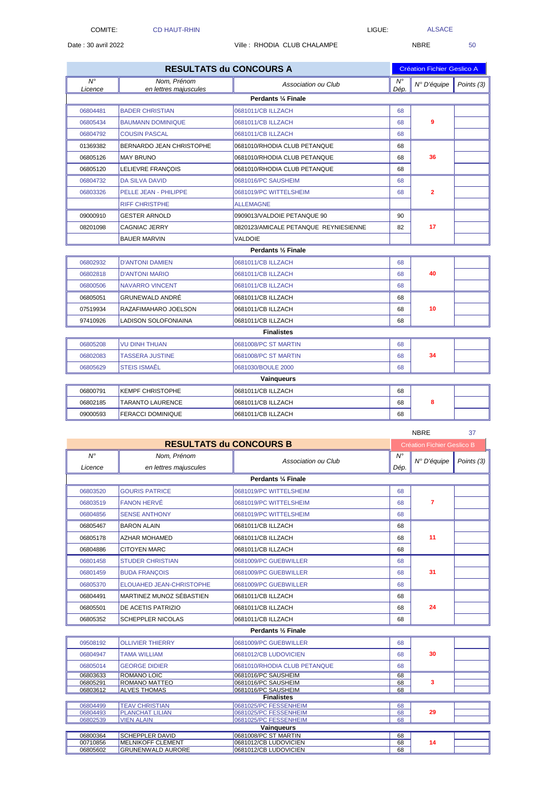ALSACE

NBRE 37

 $\mathbf{r}$ 

| <b>RESULTATS du CONCOURS A</b> |                          |                                       |                        | <b>Création Fichier Geslico A</b> |            |  |  |
|--------------------------------|--------------------------|---------------------------------------|------------------------|-----------------------------------|------------|--|--|
| $\overline{N^{\circ}}$         | Nom, Prénom              | Association ou Club                   | $\overline{N^{\circ}}$ | N° D'équipe                       | Points (3) |  |  |
| Licence                        | en lettres majuscules    | Perdants 1/4 Finale                   | Dép.                   |                                   |            |  |  |
|                                |                          |                                       |                        |                                   |            |  |  |
| 06804481                       | <b>BADER CHRISTIAN</b>   | 0681011/CB ILLZACH                    | 68                     |                                   |            |  |  |
| 06805434                       | <b>BAUMANN DOMINIQUE</b> | 0681011/CB ILLZACH                    | 68                     | 9                                 |            |  |  |
| 06804792                       | <b>COUSIN PASCAL</b>     | 0681011/CB ILLZACH                    | 68                     |                                   |            |  |  |
| 01369382                       | BERNARDO JEAN CHRISTOPHE | 0681010/RHODIA CLUB PETANQUE          | 68                     |                                   |            |  |  |
| 06805126                       | <b>MAY BRUNO</b>         | 0681010/RHODIA CLUB PETANQUE          | 68                     | 36                                |            |  |  |
| 06805120                       | LELIEVRE FRANÇOIS        | 0681010/RHODIA CLUB PETANQUE          | 68                     |                                   |            |  |  |
| 06804732                       | <b>DA SILVA DAVID</b>    | 0681016/PC SAUSHEIM                   | 68                     |                                   |            |  |  |
| 06803326                       | PELLE JEAN - PHILIPPE    | 0681019/PC WITTELSHEIM                | 68                     | $\mathbf{2}$                      |            |  |  |
|                                | <b>RIFF CHRISTPHE</b>    | <b>ALLEMAGNE</b>                      |                        |                                   |            |  |  |
| 09000910                       | <b>GESTER ARNOLD</b>     | 0909013/VALDOIE PETANQUE 90           | 90                     |                                   |            |  |  |
| 08201098                       | CAGNIAC JERRY            | 0820123/AMICALE PETANQUE REYNIESIENNE | 82                     | 17                                |            |  |  |
|                                | <b>BAUER MARVIN</b>      | VALDOIE                               |                        |                                   |            |  |  |
|                                |                          | Perdants 1/2 Finale                   |                        |                                   |            |  |  |
| 06802932                       | <b>D'ANTONI DAMIEN</b>   | 0681011/CB ILLZACH                    | 68                     |                                   |            |  |  |
| 06802818                       | <b>D'ANTONI MARIO</b>    | 0681011/CB ILLZACH                    | 68                     | 40                                |            |  |  |
| 06800506                       | <b>NAVARRO VINCENT</b>   | 0681011/CB ILLZACH                    | 68                     |                                   |            |  |  |
| 06805051                       | GRUNEWALD ANDRÉ          | 0681011/CB ILLZACH                    | 68                     | 10                                |            |  |  |
| 07519934                       | RAZAFIMAHARO JOELSON     | 0681011/CB ILLZACH                    | 68                     |                                   |            |  |  |
| 97410926                       | LADISON SOLOFONIAINA     | 0681011/CB ILLZACH                    | 68                     |                                   |            |  |  |
|                                |                          | <b>Finalistes</b>                     |                        |                                   |            |  |  |
| 06805208                       | <b>VU DINH THUAN</b>     | 0681008/PC ST MARTIN                  | 68                     |                                   |            |  |  |
| 06802083                       | <b>TASSERA JUSTINE</b>   | 0681008/PC ST MARTIN                  | 68                     | 34                                |            |  |  |
| 06805629                       | <b>STEIS ISMAÊL</b>      | 0681030/BOULE 2000                    | 68                     |                                   |            |  |  |
|                                |                          | Vainqueurs                            |                        |                                   |            |  |  |
| 06800791                       | <b>KEMPF CHRISTOPHE</b>  | 0681011/CB ILLZACH                    | 68                     |                                   |            |  |  |
| 06802185                       | TARANTO LAURENCE         | 0681011/CB ILLZACH                    | 68                     | 8                                 |            |  |  |
| 09000593                       | <b>FERACCI DOMINIQUE</b> | 0681011/CB ILLZACH                    | 68                     |                                   |            |  |  |

| $N^{\circ}$<br>$N^{\circ}$<br>Nom, Prénom<br>N° D'équipe<br>Association ou Club<br>Points (3)<br>en lettres majuscules<br>Dép.<br>Licence<br>Perdants 1/4 Finale<br>06803520<br><b>GOURIS PATRICE</b><br>0681019/PC WITTELSHEIM<br>68<br>$\overline{7}$<br><b>FANON HERVÉ</b><br>0681019/PC WITTELSHEIM<br>68<br>06803519<br><b>SENSE ANTHONY</b><br>0681019/PC WITTELSHEIM<br>68<br>06804856<br><b>BARON ALAIN</b><br>0681011/CB ILLZACH<br>06805467<br>68<br>11<br>0681011/CB ILLZACH<br>06805178<br><b>AZHAR MOHAMED</b><br>68<br>68<br><b>CITOYEN MARC</b><br>0681011/CB ILLZACH<br>06804886<br>06801458<br><b>STUDER CHRISTIAN</b><br>0681009/PC GUEBWILLER<br>68<br>31<br>06801459<br><b>BUDA FRANÇOIS</b><br>0681009/PC GUEBWILLER<br>68<br>ELOUAHED JEAN-CHRISTOPHE<br>06805370<br>0681009/PC GUEBWILLER<br>68<br><b>MARTINEZ MUNOZ SÉBASTIEN</b><br>0681011/CB ILLZACH<br>06804491<br>68<br>0681011/CB ILLZACH<br>24<br>06805501<br><b>DE ACETIS PATRIZIO</b><br>68<br>0681011/CB ILLZACH<br>06805352<br><b>SCHEPPLER NICOLAS</b><br>68<br>Perdants 1/2 Finale<br>09508192<br><b>OLLIVIER THIERRY</b><br>0681009/PC GUEBWILLER<br>68<br>30<br>0681012/CB LUDOVICIEN<br>68<br>06804947<br><b>TAMA WILLIAM</b><br>06805014<br><b>GEORGE DIDIER</b><br>0681010/RHODIA CLUB PETANQUE<br>68<br>06803633<br><b>ROMANO LOIC</b><br>0681016/PC SAUSHEIM<br>68<br>3<br><b>ROMANO MATTEO</b><br>0681016/PC SAUSHEIM<br>68<br>06805291<br><b>ALVES THOMAS</b><br>0681016/PC SAUSHEIM<br>06803612<br>68<br><b>Finalistes</b><br><b>TEAV CHRISTIAN</b><br>0681025/PC FESSENHEIM<br>06804499<br>68<br><b>PLANCHAT LILIAN</b><br>0681025/PC FESSENHEIM<br>06804493<br>68<br>29<br><b>VIEN ALAIN</b><br>0681025/PC FESSENHEIM<br>68<br>06802539<br>Vainqueurs<br>0681008/PC ST MARTIN<br><b>SCHEPPLER DAVID</b><br>06800364<br>68<br><b>MELNIKOFF CLÉMENT</b><br>0681012/CB LUDOVICIEN<br>00710856<br>68<br>14 | <b>RESULTATS du CONCOURS B</b> |                          |                       |    | <b>Création Fichier Geslico B</b> |  |  |  |  |
|---------------------------------------------------------------------------------------------------------------------------------------------------------------------------------------------------------------------------------------------------------------------------------------------------------------------------------------------------------------------------------------------------------------------------------------------------------------------------------------------------------------------------------------------------------------------------------------------------------------------------------------------------------------------------------------------------------------------------------------------------------------------------------------------------------------------------------------------------------------------------------------------------------------------------------------------------------------------------------------------------------------------------------------------------------------------------------------------------------------------------------------------------------------------------------------------------------------------------------------------------------------------------------------------------------------------------------------------------------------------------------------------------------------------------------------------------------------------------------------------------------------------------------------------------------------------------------------------------------------------------------------------------------------------------------------------------------------------------------------------------------------------------------------------------------------------------------------------------------------------------------------------------------|--------------------------------|--------------------------|-----------------------|----|-----------------------------------|--|--|--|--|
|                                                                                                                                                                                                                                                                                                                                                                                                                                                                                                                                                                                                                                                                                                                                                                                                                                                                                                                                                                                                                                                                                                                                                                                                                                                                                                                                                                                                                                                                                                                                                                                                                                                                                                                                                                                                                                                                                                         |                                |                          |                       |    |                                   |  |  |  |  |
|                                                                                                                                                                                                                                                                                                                                                                                                                                                                                                                                                                                                                                                                                                                                                                                                                                                                                                                                                                                                                                                                                                                                                                                                                                                                                                                                                                                                                                                                                                                                                                                                                                                                                                                                                                                                                                                                                                         |                                |                          |                       |    |                                   |  |  |  |  |
|                                                                                                                                                                                                                                                                                                                                                                                                                                                                                                                                                                                                                                                                                                                                                                                                                                                                                                                                                                                                                                                                                                                                                                                                                                                                                                                                                                                                                                                                                                                                                                                                                                                                                                                                                                                                                                                                                                         |                                |                          |                       |    |                                   |  |  |  |  |
|                                                                                                                                                                                                                                                                                                                                                                                                                                                                                                                                                                                                                                                                                                                                                                                                                                                                                                                                                                                                                                                                                                                                                                                                                                                                                                                                                                                                                                                                                                                                                                                                                                                                                                                                                                                                                                                                                                         |                                |                          |                       |    |                                   |  |  |  |  |
|                                                                                                                                                                                                                                                                                                                                                                                                                                                                                                                                                                                                                                                                                                                                                                                                                                                                                                                                                                                                                                                                                                                                                                                                                                                                                                                                                                                                                                                                                                                                                                                                                                                                                                                                                                                                                                                                                                         |                                |                          |                       |    |                                   |  |  |  |  |
|                                                                                                                                                                                                                                                                                                                                                                                                                                                                                                                                                                                                                                                                                                                                                                                                                                                                                                                                                                                                                                                                                                                                                                                                                                                                                                                                                                                                                                                                                                                                                                                                                                                                                                                                                                                                                                                                                                         |                                |                          |                       |    |                                   |  |  |  |  |
|                                                                                                                                                                                                                                                                                                                                                                                                                                                                                                                                                                                                                                                                                                                                                                                                                                                                                                                                                                                                                                                                                                                                                                                                                                                                                                                                                                                                                                                                                                                                                                                                                                                                                                                                                                                                                                                                                                         |                                |                          |                       |    |                                   |  |  |  |  |
|                                                                                                                                                                                                                                                                                                                                                                                                                                                                                                                                                                                                                                                                                                                                                                                                                                                                                                                                                                                                                                                                                                                                                                                                                                                                                                                                                                                                                                                                                                                                                                                                                                                                                                                                                                                                                                                                                                         |                                |                          |                       |    |                                   |  |  |  |  |
|                                                                                                                                                                                                                                                                                                                                                                                                                                                                                                                                                                                                                                                                                                                                                                                                                                                                                                                                                                                                                                                                                                                                                                                                                                                                                                                                                                                                                                                                                                                                                                                                                                                                                                                                                                                                                                                                                                         |                                |                          |                       |    |                                   |  |  |  |  |
|                                                                                                                                                                                                                                                                                                                                                                                                                                                                                                                                                                                                                                                                                                                                                                                                                                                                                                                                                                                                                                                                                                                                                                                                                                                                                                                                                                                                                                                                                                                                                                                                                                                                                                                                                                                                                                                                                                         |                                |                          |                       |    |                                   |  |  |  |  |
|                                                                                                                                                                                                                                                                                                                                                                                                                                                                                                                                                                                                                                                                                                                                                                                                                                                                                                                                                                                                                                                                                                                                                                                                                                                                                                                                                                                                                                                                                                                                                                                                                                                                                                                                                                                                                                                                                                         |                                |                          |                       |    |                                   |  |  |  |  |
|                                                                                                                                                                                                                                                                                                                                                                                                                                                                                                                                                                                                                                                                                                                                                                                                                                                                                                                                                                                                                                                                                                                                                                                                                                                                                                                                                                                                                                                                                                                                                                                                                                                                                                                                                                                                                                                                                                         |                                |                          |                       |    |                                   |  |  |  |  |
|                                                                                                                                                                                                                                                                                                                                                                                                                                                                                                                                                                                                                                                                                                                                                                                                                                                                                                                                                                                                                                                                                                                                                                                                                                                                                                                                                                                                                                                                                                                                                                                                                                                                                                                                                                                                                                                                                                         |                                |                          |                       |    |                                   |  |  |  |  |
|                                                                                                                                                                                                                                                                                                                                                                                                                                                                                                                                                                                                                                                                                                                                                                                                                                                                                                                                                                                                                                                                                                                                                                                                                                                                                                                                                                                                                                                                                                                                                                                                                                                                                                                                                                                                                                                                                                         |                                |                          |                       |    |                                   |  |  |  |  |
|                                                                                                                                                                                                                                                                                                                                                                                                                                                                                                                                                                                                                                                                                                                                                                                                                                                                                                                                                                                                                                                                                                                                                                                                                                                                                                                                                                                                                                                                                                                                                                                                                                                                                                                                                                                                                                                                                                         |                                |                          |                       |    |                                   |  |  |  |  |
|                                                                                                                                                                                                                                                                                                                                                                                                                                                                                                                                                                                                                                                                                                                                                                                                                                                                                                                                                                                                                                                                                                                                                                                                                                                                                                                                                                                                                                                                                                                                                                                                                                                                                                                                                                                                                                                                                                         |                                |                          |                       |    |                                   |  |  |  |  |
|                                                                                                                                                                                                                                                                                                                                                                                                                                                                                                                                                                                                                                                                                                                                                                                                                                                                                                                                                                                                                                                                                                                                                                                                                                                                                                                                                                                                                                                                                                                                                                                                                                                                                                                                                                                                                                                                                                         |                                |                          |                       |    |                                   |  |  |  |  |
|                                                                                                                                                                                                                                                                                                                                                                                                                                                                                                                                                                                                                                                                                                                                                                                                                                                                                                                                                                                                                                                                                                                                                                                                                                                                                                                                                                                                                                                                                                                                                                                                                                                                                                                                                                                                                                                                                                         |                                |                          |                       |    |                                   |  |  |  |  |
|                                                                                                                                                                                                                                                                                                                                                                                                                                                                                                                                                                                                                                                                                                                                                                                                                                                                                                                                                                                                                                                                                                                                                                                                                                                                                                                                                                                                                                                                                                                                                                                                                                                                                                                                                                                                                                                                                                         |                                |                          |                       |    |                                   |  |  |  |  |
|                                                                                                                                                                                                                                                                                                                                                                                                                                                                                                                                                                                                                                                                                                                                                                                                                                                                                                                                                                                                                                                                                                                                                                                                                                                                                                                                                                                                                                                                                                                                                                                                                                                                                                                                                                                                                                                                                                         |                                |                          |                       |    |                                   |  |  |  |  |
|                                                                                                                                                                                                                                                                                                                                                                                                                                                                                                                                                                                                                                                                                                                                                                                                                                                                                                                                                                                                                                                                                                                                                                                                                                                                                                                                                                                                                                                                                                                                                                                                                                                                                                                                                                                                                                                                                                         |                                |                          |                       |    |                                   |  |  |  |  |
|                                                                                                                                                                                                                                                                                                                                                                                                                                                                                                                                                                                                                                                                                                                                                                                                                                                                                                                                                                                                                                                                                                                                                                                                                                                                                                                                                                                                                                                                                                                                                                                                                                                                                                                                                                                                                                                                                                         |                                |                          |                       |    |                                   |  |  |  |  |
|                                                                                                                                                                                                                                                                                                                                                                                                                                                                                                                                                                                                                                                                                                                                                                                                                                                                                                                                                                                                                                                                                                                                                                                                                                                                                                                                                                                                                                                                                                                                                                                                                                                                                                                                                                                                                                                                                                         |                                |                          |                       |    |                                   |  |  |  |  |
|                                                                                                                                                                                                                                                                                                                                                                                                                                                                                                                                                                                                                                                                                                                                                                                                                                                                                                                                                                                                                                                                                                                                                                                                                                                                                                                                                                                                                                                                                                                                                                                                                                                                                                                                                                                                                                                                                                         |                                |                          |                       |    |                                   |  |  |  |  |
|                                                                                                                                                                                                                                                                                                                                                                                                                                                                                                                                                                                                                                                                                                                                                                                                                                                                                                                                                                                                                                                                                                                                                                                                                                                                                                                                                                                                                                                                                                                                                                                                                                                                                                                                                                                                                                                                                                         |                                |                          |                       |    |                                   |  |  |  |  |
|                                                                                                                                                                                                                                                                                                                                                                                                                                                                                                                                                                                                                                                                                                                                                                                                                                                                                                                                                                                                                                                                                                                                                                                                                                                                                                                                                                                                                                                                                                                                                                                                                                                                                                                                                                                                                                                                                                         |                                |                          |                       |    |                                   |  |  |  |  |
|                                                                                                                                                                                                                                                                                                                                                                                                                                                                                                                                                                                                                                                                                                                                                                                                                                                                                                                                                                                                                                                                                                                                                                                                                                                                                                                                                                                                                                                                                                                                                                                                                                                                                                                                                                                                                                                                                                         |                                |                          |                       |    |                                   |  |  |  |  |
|                                                                                                                                                                                                                                                                                                                                                                                                                                                                                                                                                                                                                                                                                                                                                                                                                                                                                                                                                                                                                                                                                                                                                                                                                                                                                                                                                                                                                                                                                                                                                                                                                                                                                                                                                                                                                                                                                                         |                                |                          |                       |    |                                   |  |  |  |  |
|                                                                                                                                                                                                                                                                                                                                                                                                                                                                                                                                                                                                                                                                                                                                                                                                                                                                                                                                                                                                                                                                                                                                                                                                                                                                                                                                                                                                                                                                                                                                                                                                                                                                                                                                                                                                                                                                                                         | 06805602                       | <b>GRUNENWALD AURORE</b> | 0681012/CB LUDOVICIEN | 68 |                                   |  |  |  |  |